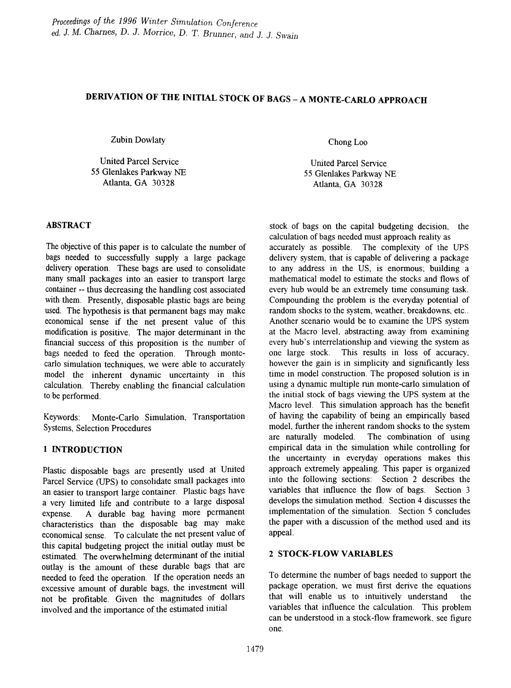# DERIVATION OF THE INITIAL STOCK OF BAGS - A MONTE-CARLO APPROACH

Zubin Dowlaty

United Parcel Service 55 Glenlakes Parkway NE Atlanta, GA 30328

## ABSTRACT

The objective of this paper is to calculate the number of bags needed to successfully supply a large package delivery operation. These bags are used to consolidate many small packages into an easier to transport large container -- thus decreasing the handling cost associated with them. Presently, disposable plastic bags are being used. The hypothesis is that permanent bags may make economical sense if the net present value of this modification is positive. The major detenninant in the financial success of this proposition is the number of bags needed to feed the operation. Through montecarlo simulation techniques, we were able to accurately model the inherent dynamic uncertainty in this calculation. Thereby enabling the financial calculation to be performed.

Keywords: Monte-Carlo Simulation, Transportation Systems, Selection Procedures

# 1 INTRODUCTION

Plastic disposable bags are presently used at United Parcel Service (UPS) to consolidate small packages into an easier to transport large container. Plastic bags have a very limited life and contribute to a large disposal expense. A durable bag having more pennanent characteristics than the disposable bag may make economical sense. To calculate the net present value of this capital budgeting project the initial outlay must be estimated. The overwhelming determinant of the initial outlay is the amount of these durable bags that are needed to feed the operation. If the operation needs an excessive amount of durable bags, the investment will not be profitable. Given the magnitudes of dollars involved and the importance of the estimated initial

Chong Loo

United Parcel Service 55 Glenlakes Parkway NE Atlanta, GA 30328

stock of bags on the capital budgeting decision, the calculation of bags needed must approach reality as accurately as possible. The complexity of the UPS delivery system, that is capable of delivering a package to any address in the US, is enormous; building a mathematical model to estimate the stocks and flows of every hub would be an extremely time consuming task. Compounding the problem is the everyday potential of random shocks to the system, weather, breakdowns, etc... Another scenario would be to examine the UPS system at the Macro level, abstracting away from examining every hub's interrelationship and viewing the system as one large stock. This results in loss of accuracy, however the gain is in simplicity and significantly less time in model construction. The proposed solution is in using a dynamic multiple run monte-carlo simulation of the initial stock of bags viewing the UPS system at the Macro level. This simulation approach has the benefit of having the capability of being an empirically based model, further the inherent random shocks to the system are naturally modeled. The combination of using empirical data in the simulation while controlling for the uncertainty in everyday operations makes this approach extremely appealing. This paper is organized into the following sections: Section 2 describes the variables that influence the flow of bags. Section 3 develops the simulation method. Section 4 discusses the implementation of the simulation. Section 5 concludes the paper with a discussion of the method used and its appeal.

# 2 STOCK-FLOW VARIABLES

To determine the number of bags needed to support the package operation, we must first derive the equations that will enable us to intuitively understand the variables that influence the calculation. This problem can be understood in a stock-flow framework, see figure one.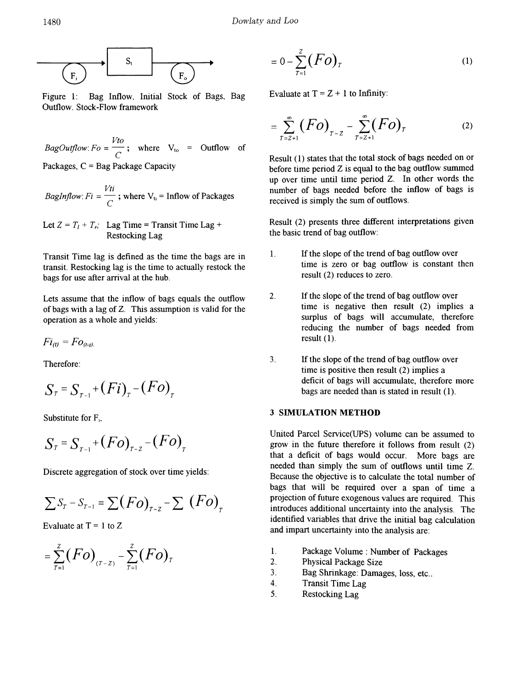

Figure 1: Bag Inflow, Initial Stock of Bags, Bag Outflow. Stock-Flow framework

 $\frac{Vto}{\sigma}$ ; where  $V_{to}$  = Outflow of *BagOutflow:*  $Fo = \frac{Vto}{C}$ ; where  $V_{to}$ Packages,  $C = Bag$  Package Capacity

*BagInflow*: 
$$
Fi = \frac{Vti}{C}
$$
; where V<sub>u</sub> = Inflow of Packages

Let  $Z = T_1 + T_r$ ; Lag Time = Transit Time Lag + Restocking Lag

Transit Time lag is defined as the time the bags are in transit. Restocking lag is the time to actually restock the bags for use after arrival at the hub.

Lets assume that the inflow of bags equals the outflow of bags with a lag of Z. This assumption is valid for the operation as a whole and yields:

$$
Fi_{(t)}=Fo_{(t-z)}
$$

$$
S_{\tau} = S_{\tau-1} + (Fi)_{\tau} - (Fo)_{\tau}
$$

Substitute for  $F_i$ ,

$$
S_{\tau} = S_{\tau-1} + (Fo)_{\tau-\tau} - (Fo)_{\tau}
$$

Discrete aggregation of stock over time yields:

$$
\sum S_{r} - S_{r-1} = \sum (Fo)_{r-z} - \sum (Fo)_{r}
$$

Evaluate at  $T = 1$  to Z

$$
=\sum_{T=1}^{z}(FO)_{(T-z)}-\sum_{T=1}^{z}(Fo)_{T}
$$

$$
= 0 - \sum_{T=1}^{Z} (Fo)_T \tag{1}
$$

Evaluate at  $T = Z + 1$  to Infinity:

$$
= \sum_{T=Z+1}^{\infty} (F o)_{T=Z} - \sum_{T=Z+1}^{\infty} (F o)_T
$$
 (2)

Result (1) states that the total stock of bags needed on or before time period  $Z$  is equal to the bag outflow summed up over time until time period Z. In other words the number of bags needed before the inflow of bags is received is simply the sum of outflows.

Result (2) presents three different interpretations given the basic trend of bag outflow:

- 1. If the slope of the trend of bag outflow over time is zero or bag outflow is constant then result (2) reduces to zero.
- 2. If the slope of the trend of bag outflow over time is negative then result (2) implies a surplus of bags will accumulate, therefore reducing the number of bags needed from result (1).
- Therefore: 3. If the slope of the trend of bag outflow over time is positive then result (2) implies a deficit of bags will accumulate, therefore more bags are needed than is stated in result (1).

## 3 SIMULATION METHOD

United Parcel Service(upS) volume can be assumed to grow in the future therefore it follows from result (2) that a deficit of bags would occur. More bags are needed than simply the sum of outflows until time Z. Because the objective is to calculate the total number of bags that will be required over a span of time a projection of future exogenous values are required. This introduces additional uncertainty into the analysis. The identified variables that drive the initial bag calculation and impart uncertainty into the analysis are:

- 1. Package Volume: Number of Packages
- 2. Physical Package Size
- 3. Bag Shrinkage: Damages, loss, etc..
- 4. Transit Time Lag
- 5. Restocking Lag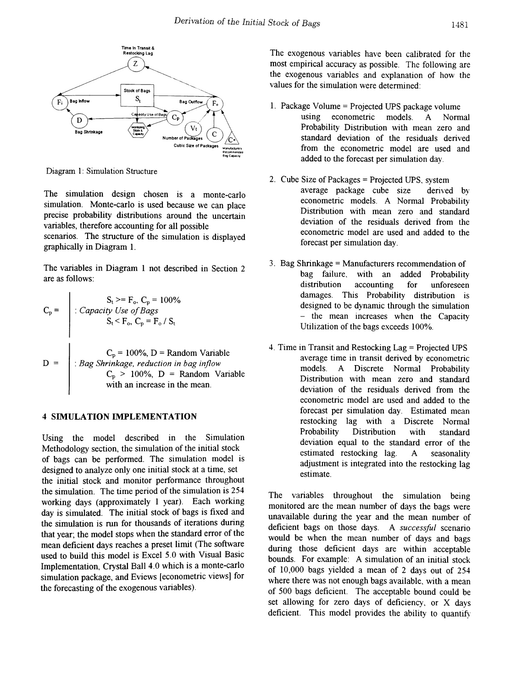

Diagram 1: Simulation Structure

 $\mathbf{r}$ 

The simulation design chosen is a monte-carlo simulation. Monte-carlo is used because we can place precise probability distributions around the uncertain variables, therefore accounting for all possible scenarios. The structure of the simulation is displayed graphically in Diagram 1.

The variables in Diagram 1 not described in Section 2 are as follows:

$$
C_p = \begin{cases} S_t \geq F_o, C_p = 100\% \\ \therefore \text{ Capacity Use of Bags} \\ S_t < F_o, C_p = F_o / S_t \\ \text{C}_p = 100\%, D = \text{Random Variable} \\ \therefore \text{Bag Shrinkage, reduction in bag inflow} \\ C_p > 100\%, D = \text{Random Variable} \\ \text{with an increase in the mean.} \end{cases}
$$

#### 4 SIMULATION IMPLEMENTATION

Using the model described in the Simulation Methodology section, the simulation of the initial stock. of bags can be performed. The simulation model is designed to analyze only one initial stock at a time, set the initial stock and monitor performance throughout the simulation. The time period of the simulation is 254 working days (approximately  $1$  year). Each working day is simulated. The initial stock of bags is fixed and the simulation is run for thousands of iterations during that year; the model stops when the standard error of the mean deficient days reaches a preset limit (The software used to build this model is Excel 5.0 with Visual Basic Implementation, Crystal Ball 4.0 which is a monte-carlo simulation package, and Eviews [econometric views] for the forecasting of the exogenous variables).

The exogenous variables have been calibrated for the most empirical accuracy as possible. The following are the exogenous variables and explanation of how the values for the simulation were determined:

- 1. Package Volume = Projected UPS package volume using econometric models. A Normal Probability Distribution with mean zero and standard deviation of the residuals derived from the econometric model are used and added to the forecast per simulation day.
- 2. Cube Size of Packages = Projected UPS. system average package cube size derived by econometric models. A Normal Probability Distribution with mean zero and standard deviation of the residuals derived from the econometric model are used and added to the forecast per simulation day.
- 3. Bag Shrinkage = Manufacturers recommendation of bag failure, with an added Probability distribution accounting for unforeseen damages. This Probability distribution is designed to be dynamic through the simulation - the mean increases when the Capacity Utilization of the bags exceeds 100%.
- 4. Time in Transit and Restocking Lag = Projected UPS average time in transit derived by econometric models. A Discrete Normal Probability Distribution with mean zero and standard deviation of the residuals derived from the econometric model are used and added to the forecast per simulation day. Estimated mean restocking lag with a Discrete Normal Probability Distribution with standard deviation equal to the standard error of the estimated restocking lag. A seasonality adjustment is integrated into the restocking lag estimate.

The variables throughout the simulation being monitored are the mean number of days the bags were unavailable during the year and the mean number of deficient bags on those days. A *successful* scenario would be when the mean number of days and bags during those deficient days are within acceptable bounds. For example: A simulation of an initial stock of 10,000 bags yielded a mean of 2 days out of 254 where there was not enough bags available. with a mean of 500 bags deficient. The acceptable bound could be set allowing for zero days of deficiency. or X days deficient. This model provides the ability to quantify